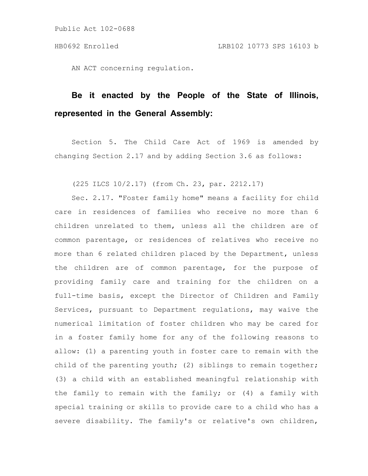AN ACT concerning regulation.

## **Be it enacted by the People of the State of Illinois, represented in the General Assembly:**

Section 5. The Child Care Act of 1969 is amended by changing Section 2.17 and by adding Section 3.6 as follows:

(225 ILCS 10/2.17) (from Ch. 23, par. 2212.17)

Sec. 2.17. "Foster family home" means a facility for child care in residences of families who receive no more than 6 children unrelated to them, unless all the children are of common parentage, or residences of relatives who receive no more than 6 related children placed by the Department, unless the children are of common parentage, for the purpose of providing family care and training for the children on a full-time basis, except the Director of Children and Family Services, pursuant to Department regulations, may waive the numerical limitation of foster children who may be cared for in a foster family home for any of the following reasons to allow: (1) a parenting youth in foster care to remain with the child of the parenting youth; (2) siblings to remain together; (3) a child with an established meaningful relationship with the family to remain with the family; or (4) a family with special training or skills to provide care to a child who has a severe disability. The family's or relative's own children,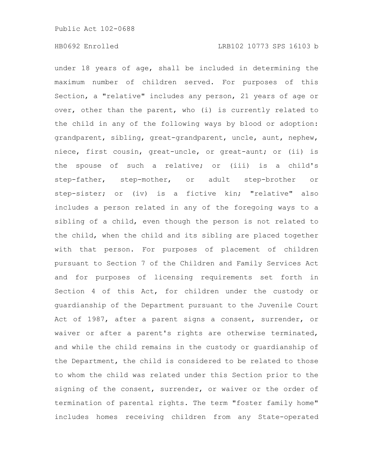under 18 years of age, shall be included in determining the maximum number of children served. For purposes of this Section, a "relative" includes any person, 21 years of age or over, other than the parent, who (i) is currently related to the child in any of the following ways by blood or adoption: grandparent, sibling, great-grandparent, uncle, aunt, nephew, niece, first cousin, great-uncle, or great-aunt; or (ii) is the spouse of such a relative; or (iii) is a child's step-father, step-mother, or adult step-brother or step-sister; or (iv) is a fictive kin; "relative" also includes a person related in any of the foregoing ways to a sibling of a child, even though the person is not related to the child, when the child and its sibling are placed together with that person. For purposes of placement of children pursuant to Section 7 of the Children and Family Services Act and for purposes of licensing requirements set forth in Section 4 of this Act, for children under the custody or guardianship of the Department pursuant to the Juvenile Court Act of 1987, after a parent signs a consent, surrender, or waiver or after a parent's rights are otherwise terminated, and while the child remains in the custody or guardianship of the Department, the child is considered to be related to those to whom the child was related under this Section prior to the signing of the consent, surrender, or waiver or the order of termination of parental rights. The term "foster family home" includes homes receiving children from any State-operated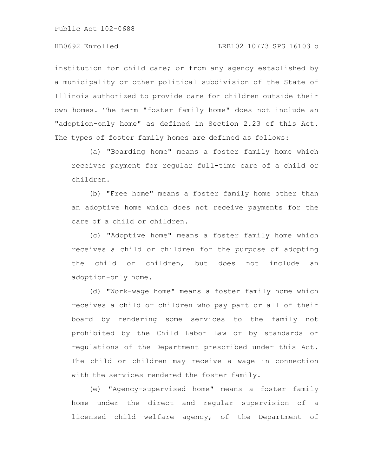Public Act 102-0688

institution for child care; or from any agency established by a municipality or other political subdivision of the State of Illinois authorized to provide care for children outside their own homes. The term "foster family home" does not include an "adoption-only home" as defined in Section 2.23 of this Act. The types of foster family homes are defined as follows:

(a) "Boarding home" means a foster family home which receives payment for regular full-time care of a child or children.

(b) "Free home" means a foster family home other than an adoptive home which does not receive payments for the care of a child or children.

(c) "Adoptive home" means a foster family home which receives a child or children for the purpose of adopting the child or children, but does not include an adoption-only home.

(d) "Work-wage home" means a foster family home which receives a child or children who pay part or all of their board by rendering some services to the family not prohibited by the Child Labor Law or by standards or regulations of the Department prescribed under this Act. The child or children may receive a wage in connection with the services rendered the foster family.

(e) "Agency-supervised home" means a foster family home under the direct and regular supervision of a licensed child welfare agency, of the Department of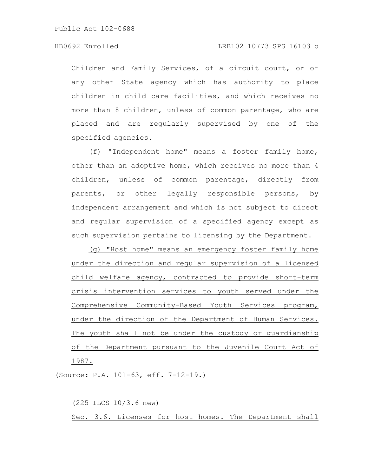Public Act 102-0688

## HB0692 Enrolled LRB102 10773 SPS 16103 b

Children and Family Services, of a circuit court, or of any other State agency which has authority to place children in child care facilities, and which receives no more than 8 children, unless of common parentage, who are placed and are regularly supervised by one of the specified agencies.

(f) "Independent home" means a foster family home, other than an adoptive home, which receives no more than 4 children, unless of common parentage, directly from parents, or other legally responsible persons, by independent arrangement and which is not subject to direct and regular supervision of a specified agency except as such supervision pertains to licensing by the Department.

(g) "Host home" means an emergency foster family home under the direction and regular supervision of a licensed child welfare agency, contracted to provide short-term crisis intervention services to youth served under the Comprehensive Community-Based Youth Services program, under the direction of the Department of Human Services. The youth shall not be under the custody or guardianship of the Department pursuant to the Juvenile Court Act of 1987.

(Source: P.A. 101-63, eff. 7-12-19.)

(225 ILCS 10/3.6 new) Sec. 3.6. Licenses for host homes. The Department shall